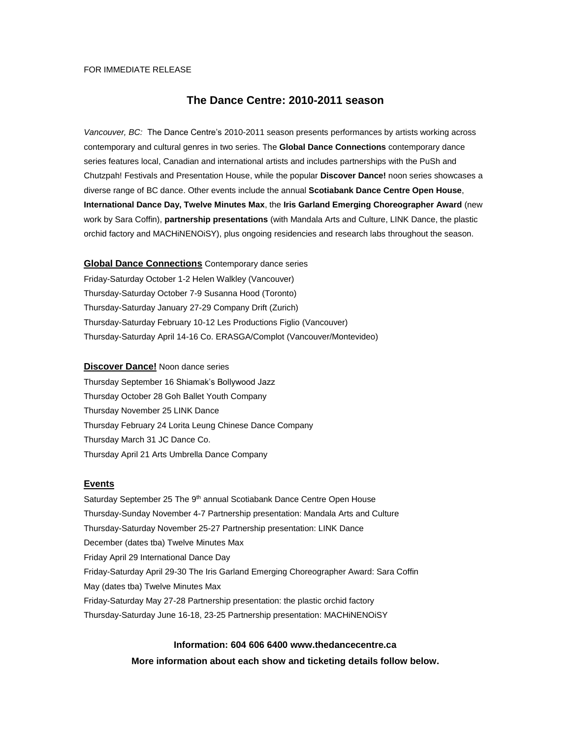# FOR IMMEDIATE RELEASE

# **The Dance Centre: 2010-2011 season**

*Vancouver, BC:* The Dance Centre's 2010-2011 season presents performances by artists working across contemporary and cultural genres in two series. The **Global Dance Connections** contemporary dance series features local, Canadian and international artists and includes partnerships with the PuSh and Chutzpah! Festivals and Presentation House, while the popular **Discover Dance!** noon series showcases a diverse range of BC dance. Other events include the annual **Scotiabank Dance Centre Open House**, **International Dance Day, Twelve Minutes Max**, the **Iris Garland Emerging Choreographer Award** (new work by Sara Coffin), **partnership presentations** (with Mandala Arts and Culture, LINK Dance, the plastic orchid factory and MACHiNENOiSY), plus ongoing residencies and research labs throughout the season.

**Global Dance Connections** Contemporary dance series Friday-Saturday October 1-2 Helen Walkley (Vancouver) Thursday-Saturday October 7-9 Susanna Hood (Toronto) Thursday-Saturday January 27-29 Company Drift (Zurich) Thursday-Saturday February 10-12 Les Productions Figlio (Vancouver) Thursday-Saturday April 14-16 Co. ERASGA/Complot (Vancouver/Montevideo)

# **Discover Dance!** Noon dance series

Thursday September 16 Shiamak's Bollywood Jazz Thursday October 28 Goh Ballet Youth Company Thursday November 25 LINK Dance Thursday February 24 Lorita Leung Chinese Dance Company Thursday March 31 JC Dance Co. Thursday April 21 Arts Umbrella Dance Company

# **Events**

Saturday September 25 The 9<sup>th</sup> annual Scotiabank Dance Centre Open House Thursday-Sunday November 4-7 Partnership presentation: Mandala Arts and Culture Thursday-Saturday November 25-27 Partnership presentation: LINK Dance December (dates tba) Twelve Minutes Max Friday April 29 International Dance Day Friday-Saturday April 29-30 The Iris Garland Emerging Choreographer Award: Sara Coffin May (dates tba) Twelve Minutes Max Friday-Saturday May 27-28 Partnership presentation: the plastic orchid factory Thursday-Saturday June 16-18, 23-25 Partnership presentation: MACHiNENOiSY

> **Information: 604 606 6400 www.thedancecentre.ca More information about each show and ticketing details follow below.**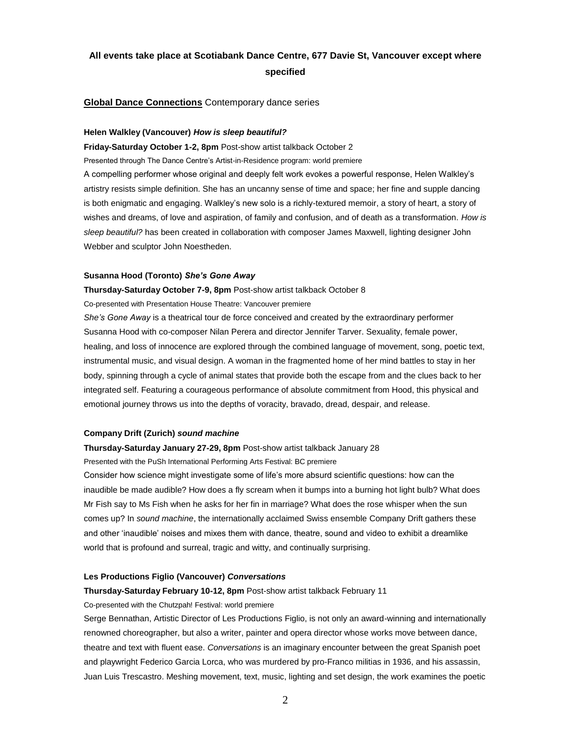# **All events take place at Scotiabank Dance Centre, 677 Davie St, Vancouver except where specified**

# **Global Dance Connections** Contemporary dance series

### **Helen Walkley (Vancouver)** *How is sleep beautiful?*

**Friday-Saturday October 1-2, 8pm** Post-show artist talkback October 2 Presented through The Dance Centre's Artist-in-Residence program: world premiere A compelling performer whose original and deeply felt work evokes a powerful response, Helen Walkley's artistry resists simple definition. She has an uncanny sense of time and space; her fine and supple dancing is both enigmatic and engaging. Walkley's new solo is a richly-textured memoir, a story of heart, a story of wishes and dreams, of love and aspiration, of family and confusion, and of death as a transformation. *How is sleep beautiful?* has been created in collaboration with composer James Maxwell, lighting designer John Webber and sculptor John Noestheden.

### **Susanna Hood (Toronto)** *She's Gone Away*

**Thursday-Saturday October 7-9, 8pm** Post-show artist talkback October 8 Co-presented with Presentation House Theatre: Vancouver premiere

*She's Gone Away* is a theatrical tour de force conceived and created by the extraordinary performer Susanna Hood with co-composer Nilan Perera and director Jennifer Tarver. Sexuality, female power, healing, and loss of innocence are explored through the combined language of movement, song, poetic text, instrumental music, and visual design. A woman in the fragmented home of her mind battles to stay in her body, spinning through a cycle of animal states that provide both the escape from and the clues back to her integrated self. Featuring a courageous performance of absolute commitment from Hood, this physical and emotional journey throws us into the depths of voracity, bravado, dread, despair, and release.

### **Company Drift (Zurich)** *sound machine*

### **Thursday-Saturday January 27-29, 8pm** Post-show artist talkback January 28

Presented with the PuSh International Performing Arts Festival: BC premiere

Consider how science might investigate some of life's more absurd scientific questions: how can the inaudible be made audible? How does a fly scream when it bumps into a burning hot light bulb? What does Mr Fish say to Ms Fish when he asks for her fin in marriage? What does the rose whisper when the sun comes up? In *sound machine*, the internationally acclaimed Swiss ensemble Company Drift gathers these and other 'inaudible' noises and mixes them with dance, theatre, sound and video to exhibit a dreamlike world that is profound and surreal, tragic and witty, and continually surprising.

### **Les Productions Figlio (Vancouver)** *Conversations*

### **Thursday-Saturday February 10-12, 8pm** Post-show artist talkback February 11

#### Co-presented with the Chutzpah! Festival: world premiere

Serge Bennathan, Artistic Director of Les Productions Figlio, is not only an award-winning and internationally renowned choreographer, but also a writer, painter and opera director whose works move between dance, theatre and text with fluent ease. *Conversations* is an imaginary encounter between the great Spanish poet and playwright Federico Garcia Lorca, who was murdered by pro-Franco militias in 1936, and his assassin, Juan Luis Trescastro. Meshing movement, text, music, lighting and set design, the work examines the poetic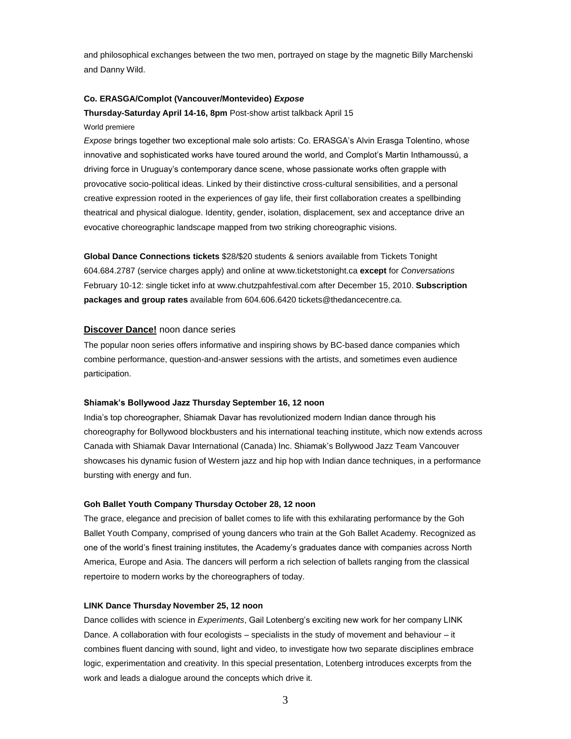and philosophical exchanges between the two men, portrayed on stage by the magnetic Billy Marchenski and Danny Wild.

# **Co. ERASGA/Complot (Vancouver/Montevideo)** *Expose*

**Thursday-Saturday April 14-16, 8pm** Post-show artist talkback April 15 World premiere

*Expose* brings together two exceptional male solo artists: Co. ERASGA's Alvin Erasga Tolentino, whose innovative and sophisticated works have toured around the world, and Complot's Martin Inthamoussú, a driving force in Uruguay's contemporary dance scene, whose passionate works often grapple with provocative socio-political ideas. Linked by their distinctive cross-cultural sensibilities, and a personal creative expression rooted in the experiences of gay life, their first collaboration creates a spellbinding theatrical and physical dialogue. Identity, gender, isolation, displacement, sex and acceptance drive an evocative choreographic landscape mapped from two striking choreographic visions.

**Global Dance Connections tickets** \$28/\$20 students & seniors available from Tickets Tonight 604.684.2787 (service charges apply) and online at www.ticketstonight.ca **except** for *Conversations* February 10-12: single ticket info at www.chutzpahfestival.com after December 15, 2010. **Subscription packages and group rates** available from 604.606.6420 tickets@thedancecentre.ca.

### **Discover Dance!** noon dance series

The popular noon series offers informative and inspiring shows by BC-based dance companies which combine performance, question-and-answer sessions with the artists, and sometimes even audience participation.

#### **Shiamak's Bollywood Jazz Thursday September 16, 12 noon**

India's top choreographer, Shiamak Davar has revolutionized modern Indian dance through his choreography for Bollywood blockbusters and his international teaching institute, which now extends across Canada with Shiamak Davar International (Canada) Inc. Shiamak's Bollywood Jazz Team Vancouver showcases his dynamic fusion of Western jazz and hip hop with Indian dance techniques, in a performance bursting with energy and fun.

### **Goh Ballet Youth Company Thursday October 28, 12 noon**

The grace, elegance and precision of ballet comes to life with this exhilarating performance by the Goh Ballet Youth Company, comprised of young dancers who train at the Goh Ballet Academy. Recognized as one of the world's finest training institutes, the Academy's graduates dance with companies across North America, Europe and Asia. The dancers will perform a rich selection of ballets ranging from the classical repertoire to modern works by the choreographers of today.

### **LINK Dance Thursday November 25, 12 noon**

Dance collides with science in *Experiments*, Gail Lotenberg's exciting new work for her company LINK Dance. A collaboration with four ecologists – specialists in the study of movement and behaviour – it combines fluent dancing with sound, light and video, to investigate how two separate disciplines embrace logic, experimentation and creativity. In this special presentation, Lotenberg introduces excerpts from the work and leads a dialogue around the concepts which drive it.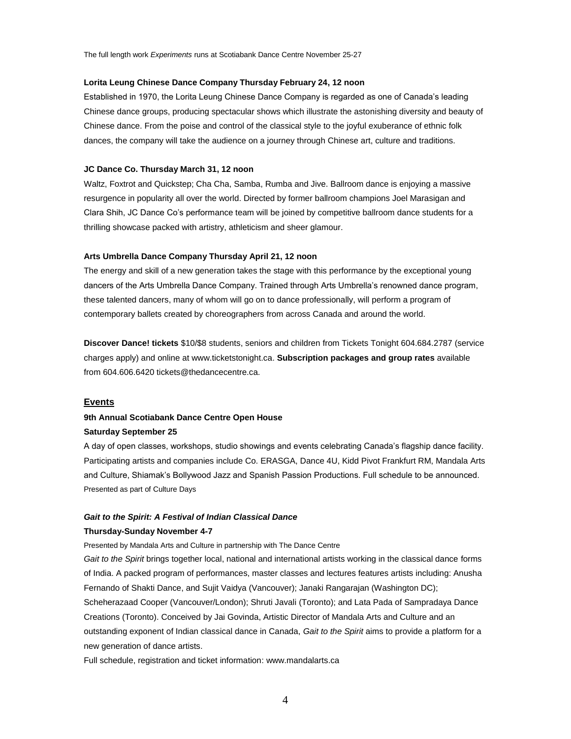### **Lorita Leung Chinese Dance Company Thursday February 24, 12 noon**

Established in 1970, the Lorita Leung Chinese Dance Company is regarded as one of Canada's leading Chinese dance groups, producing spectacular shows which illustrate the astonishing diversity and beauty of Chinese dance. From the poise and control of the classical style to the joyful exuberance of ethnic folk dances, the company will take the audience on a journey through Chinese art, culture and traditions.

### **JC Dance Co. Thursday March 31, 12 noon**

Waltz, Foxtrot and Quickstep; Cha Cha, Samba, Rumba and Jive. Ballroom dance is enjoying a massive resurgence in popularity all over the world. Directed by former ballroom champions Joel Marasigan and Clara Shih, JC Dance Co's performance team will be joined by competitive ballroom dance students for a thrilling showcase packed with artistry, athleticism and sheer glamour.

### **Arts Umbrella Dance Company Thursday April 21, 12 noon**

The energy and skill of a new generation takes the stage with this performance by the exceptional young dancers of the Arts Umbrella Dance Company. Trained through Arts Umbrella's renowned dance program, these talented dancers, many of whom will go on to dance professionally, will perform a program of contemporary ballets created by choreographers from across Canada and around the world.

**Discover Dance! tickets** \$10/\$8 students, seniors and children from Tickets Tonight 604.684.2787 (service charges apply) and online at www.ticketstonight.ca. **Subscription packages and group rates** available from 604.606.6420 tickets@thedancecentre.ca.

# **Events**

# **9th Annual Scotiabank Dance Centre Open House Saturday September 25**

A day of open classes, workshops, studio showings and events celebrating Canada's flagship dance facility. Participating artists and companies include Co. ERASGA, Dance 4U, Kidd Pivot Frankfurt RM, Mandala Arts and Culture, Shiamak's Bollywood Jazz and Spanish Passion Productions. Full schedule to be announced. Presented as part of Culture Days

### *Gait to the Spirit: A Festival of Indian Classical Dance*

#### **Thursday-Sunday November 4-7**

Presented by Mandala Arts and Culture in partnership with The Dance Centre

*Gait to the Spirit* brings together local, national and international artists working in the classical dance forms of India. A packed program of performances, master classes and lectures features artists including: Anusha Fernando of Shakti Dance, and Sujit Vaidya (Vancouver); Janaki Rangarajan (Washington DC);

Scheherazaad Cooper (Vancouver/London); Shruti Javali (Toronto); and Lata Pada of Sampradaya Dance Creations (Toronto). Conceived by Jai Govinda, Artistic Director of Mandala Arts and Culture and an outstanding exponent of Indian classical dance in Canada, *Gait to the Spirit* aims to provide a platform for a new generation of dance artists.

Full schedule, registration and ticket information: www.mandalarts.ca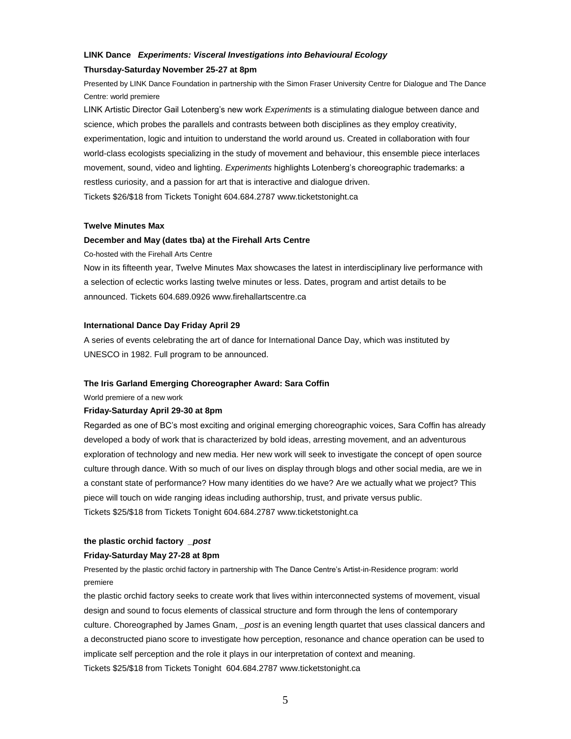# **LINK Dance** *Experiments: Visceral Investigations into Behavioural Ecology*

### **Thursday-Saturday November 25-27 at 8pm**

Presented by LINK Dance Foundation in partnership with the Simon Fraser University Centre for Dialogue and The Dance Centre: world premiere

LINK Artistic Director Gail Lotenberg's new work *Experiments* is a stimulating dialogue between dance and science, which probes the parallels and contrasts between both disciplines as they employ creativity, experimentation, logic and intuition to understand the world around us. Created in collaboration with four world-class ecologists specializing in the study of movement and behaviour, this ensemble piece interlaces movement, sound, video and lighting. *Experiments* highlights Lotenberg's choreographic trademarks: a restless curiosity, and a passion for art that is interactive and dialogue driven. Tickets \$26/\$18 from Tickets Tonight 604.684.2787 www.ticketstonight.ca

# **Twelve Minutes Max**

### **December and May (dates tba) at the Firehall Arts Centre**

Co-hosted with the Firehall Arts Centre

Now in its fifteenth year, Twelve Minutes Max showcases the latest in interdisciplinary live performance with a selection of eclectic works lasting twelve minutes or less. Dates, program and artist details to be announced. Tickets 604.689.0926 www.firehallartscentre.ca

# **International Dance Day Friday April 29**

A series of events celebrating the art of dance for International Dance Day, which was instituted by UNESCO in 1982. Full program to be announced.

### **The Iris Garland Emerging Choreographer Award: Sara Coffin**

World premiere of a new work

#### **Friday-Saturday April 29-30 at 8pm**

Regarded as one of BC's most exciting and original emerging choreographic voices, Sara Coffin has already developed a body of work that is characterized by bold ideas, arresting movement, and an adventurous exploration of technology and new media. Her new work will seek to investigate the concept of open source culture through dance. With so much of our lives on display through blogs and other social media, are we in a constant state of performance? How many identities do we have? Are we actually what we project? This piece will touch on wide ranging ideas including authorship, trust, and private versus public. Tickets \$25/\$18 from Tickets Tonight 604.684.2787 www.ticketstonight.ca

# **the plastic orchid factory** *\_post*

# **Friday-Saturday May 27-28 at 8pm**

Presented by the plastic orchid factory in partnership with The Dance Centre's Artist-in-Residence program: world premiere

the plastic orchid factory seeks to create work that lives within interconnected systems of movement, visual design and sound to focus elements of classical structure and form through the lens of contemporary culture. Choreographed by James Gnam, *\_post* is an evening length quartet that uses classical dancers and a deconstructed piano score to investigate how perception, resonance and chance operation can be used to implicate self perception and the role it plays in our interpretation of context and meaning. Tickets \$25/\$18 from Tickets Tonight 604.684.2787 www.ticketstonight.ca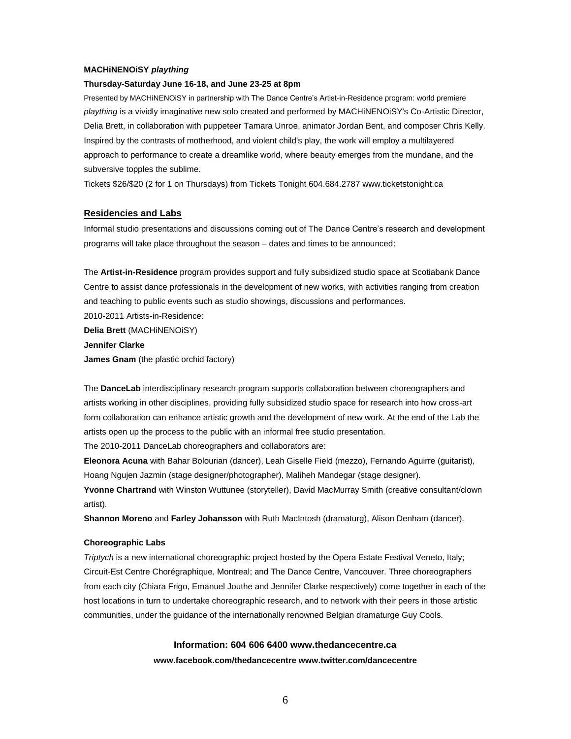### **MACHiNENOiSY** *plaything*

### **Thursday-Saturday June 16-18, and June 23-25 at 8pm**

Presented by MACHiNENOiSY in partnership with The Dance Centre's Artist-in-Residence program: world premiere *plaything* is a vividly imaginative new solo created and performed by MACHiNENOiSY's Co-Artistic Director, Delia Brett, in collaboration with puppeteer Tamara Unroe, animator Jordan Bent, and composer Chris Kelly. Inspired by the contrasts of motherhood, and violent child's play, the work will employ a multilayered approach to performance to create a dreamlike world, where beauty emerges from the mundane, and the subversive topples the sublime.

Tickets \$26/\$20 (2 for 1 on Thursdays) from Tickets Tonight 604.684.2787 www.ticketstonight.ca

### **Residencies and Labs**

Informal studio presentations and discussions coming out of The Dance Centre's research and development programs will take place throughout the season – dates and times to be announced:

The **Artist-in-Residence** program provides support and fully subsidized studio space at Scotiabank Dance Centre to assist dance professionals in the development of new works, with activities ranging from creation and teaching to public events such as studio showings, discussions and performances. 2010-2011 Artists-in-Residence: **Delia Brett** (MACHiNENOiSY) **Jennifer Clarke James Gnam** (the plastic orchid factory)

The **DanceLab** interdisciplinary research program supports collaboration between choreographers and artists working in other disciplines, providing fully subsidized studio space for research into how cross-art form collaboration can enhance artistic growth and the development of new work. At the end of the Lab the artists open up the process to the public with an informal free studio presentation.

The 2010-2011 DanceLab choreographers and collaborators are:

**Eleonora Acuna** with Bahar Bolourian (dancer), Leah Giselle Field (mezzo), Fernando Aguirre (guitarist), Hoang Ngujen Jazmin (stage designer/photographer), Maliheh Mandegar (stage designer).

**Yvonne Chartrand** with Winston Wuttunee (storyteller), David MacMurray Smith (creative consultant/clown artist).

**Shannon Moreno** and **Farley Johansson** with Ruth MacIntosh (dramaturg), Alison Denham (dancer).

### **Choreographic Labs**

*Triptych* is a new international choreographic project hosted by the Opera Estate Festival Veneto, Italy; Circuit-Est Centre Chorégraphique, Montreal; and The Dance Centre, Vancouver. Three choreographers from each city (Chiara Frigo, Emanuel Jouthe and Jennifer Clarke respectively) come together in each of the host locations in turn to undertake choreographic research, and to network with their peers in those artistic communities, under the guidance of the internationally renowned Belgian dramaturge Guy Cools.

# **Information: 604 606 6400 www.thedancecentre.ca**

### **www.facebook.com/thedancecentre www.twitter.com/dancecentre**